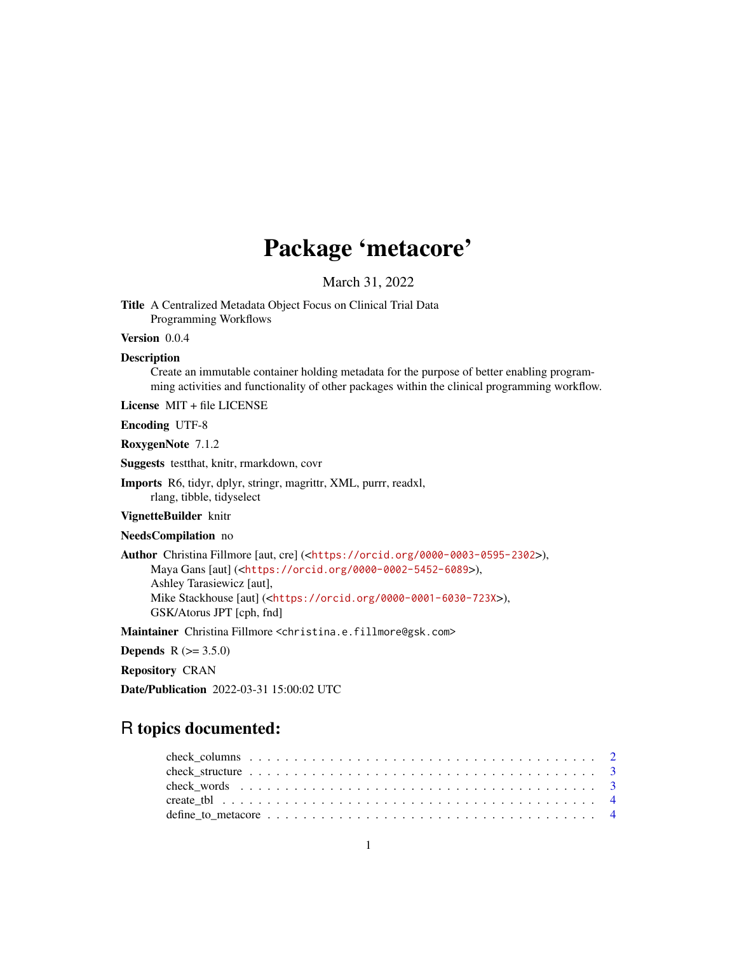# Package 'metacore'

March 31, 2022

Title A Centralized Metadata Object Focus on Clinical Trial Data Programming Workflows

Version 0.0.4

#### Description

Create an immutable container holding metadata for the purpose of better enabling programming activities and functionality of other packages within the clinical programming workflow.

License MIT + file LICENSE

Encoding UTF-8

RoxygenNote 7.1.2

Suggests testthat, knitr, rmarkdown, covr

Imports R6, tidyr, dplyr, stringr, magrittr, XML, purrr, readxl, rlang, tibble, tidyselect

VignetteBuilder knitr

NeedsCompilation no

Author Christina Fillmore [aut, cre] (<<https://orcid.org/0000-0003-0595-2302>>), Maya Gans [aut] (<<https://orcid.org/0000-0002-5452-6089>>), Ashley Tarasiewicz [aut], Mike Stackhouse [aut] (<<https://orcid.org/0000-0001-6030-723X>>), GSK/Atorus JPT [cph, fnd]

Maintainer Christina Fillmore <christina.e.fillmore@gsk.com>

**Depends** R  $(>= 3.5.0)$ 

Repository CRAN

Date/Publication 2022-03-31 15:00:02 UTC

# R topics documented: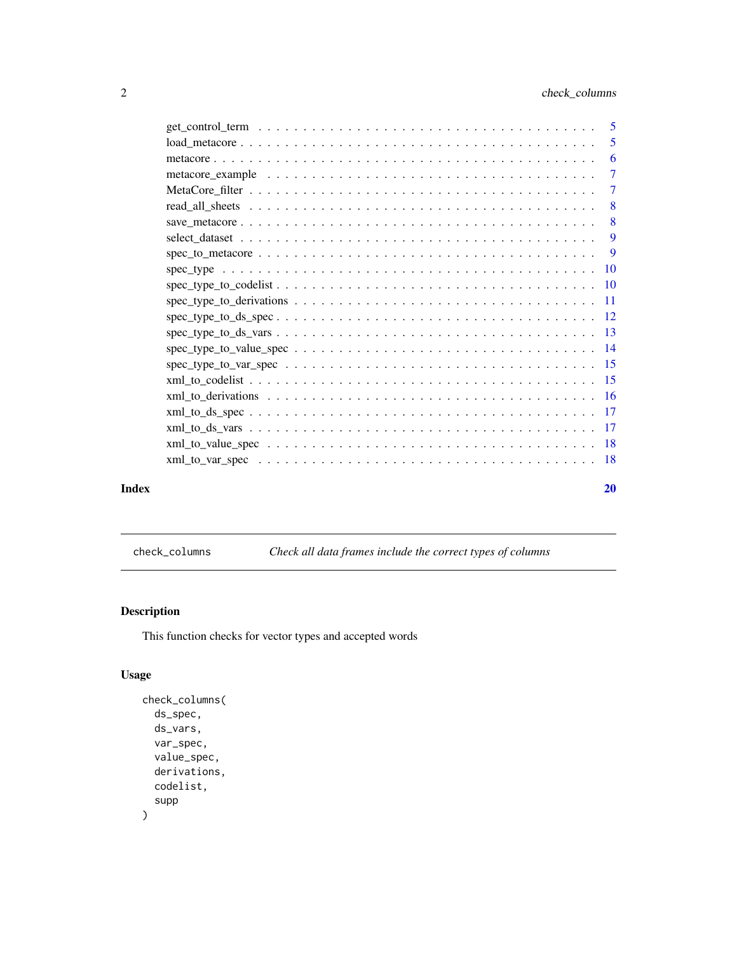<span id="page-1-0"></span>

|       |                                                                                                                               | $\overline{7}$ |
|-------|-------------------------------------------------------------------------------------------------------------------------------|----------------|
|       |                                                                                                                               |                |
|       |                                                                                                                               |                |
|       |                                                                                                                               |                |
|       |                                                                                                                               |                |
|       |                                                                                                                               |                |
|       |                                                                                                                               |                |
|       |                                                                                                                               |                |
|       |                                                                                                                               |                |
|       | $spec_type_to_ds_vars \ldots \ldots \ldots \ldots \ldots \ldots \ldots \ldots \ldots \ldots \ldots \ldots 13$                 |                |
|       |                                                                                                                               |                |
|       |                                                                                                                               |                |
|       |                                                                                                                               |                |
|       |                                                                                                                               |                |
|       |                                                                                                                               |                |
|       |                                                                                                                               |                |
|       |                                                                                                                               |                |
|       | $xml_to_var_spec \dots \dots \dots \dots \dots \dots \dots \dots \dots \dots \dots \dots \dots \dots \dots \dots \dots \dots$ |                |
|       |                                                                                                                               |                |
| Index |                                                                                                                               | 20             |

check\_columns *Check all data frames include the correct types of columns*

# Description

This function checks for vector types and accepted words

# Usage

```
check_columns(
  ds_spec,
  ds_vars,
  var_spec,
  value_spec,
  derivations,
  codelist,
  supp
\overline{\phantom{a}}
```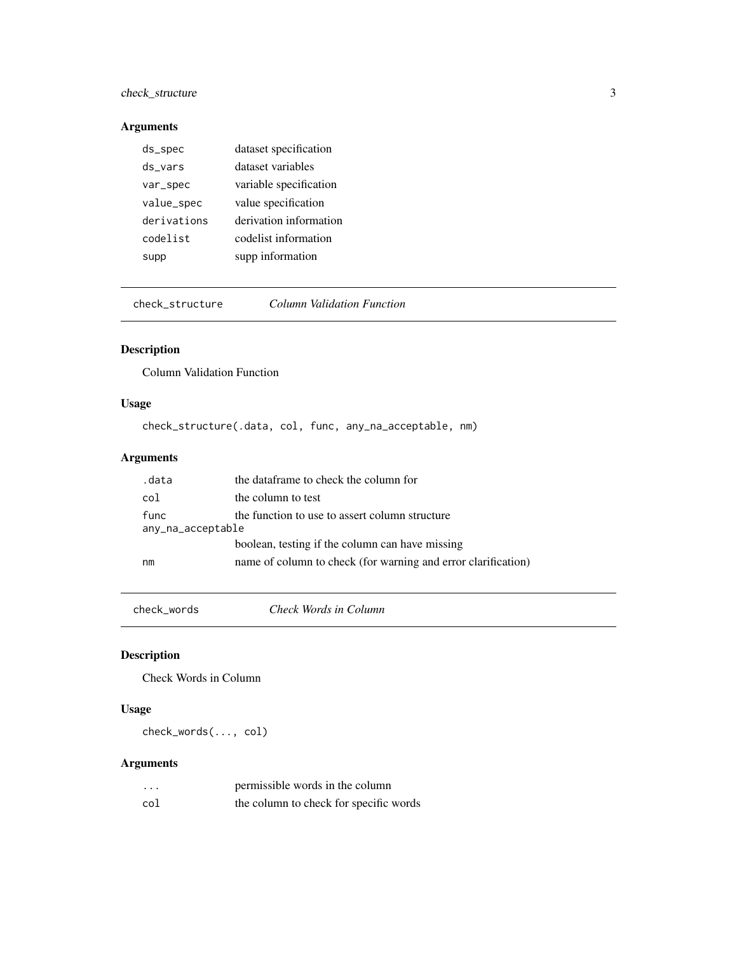# <span id="page-2-0"></span>check\_structure 3

# Arguments

| ds_spec     | dataset specification  |
|-------------|------------------------|
| ds vars     | dataset variables      |
| var_spec    | variable specification |
| value_spec  | value specification    |
| derivations | derivation information |
| codelist    | codelist information   |
| supp        | supp information       |

check\_structure *Column Validation Function*

# Description

Column Validation Function

# Usage

check\_structure(.data, col, func, any\_na\_acceptable, nm)

# Arguments

| .data             | the dataframe to check the column for                         |
|-------------------|---------------------------------------------------------------|
| col               | the column to test                                            |
| func              | the function to use to assert column structure                |
| any_na_acceptable |                                                               |
|                   | boolean, testing if the column can have missing               |
| nm                | name of column to check (for warning and error clarification) |

check\_words *Check Words in Column*

# Description

Check Words in Column

# Usage

check\_words(..., col)

# Arguments

| .   | permissible words in the column        |
|-----|----------------------------------------|
| col | the column to check for specific words |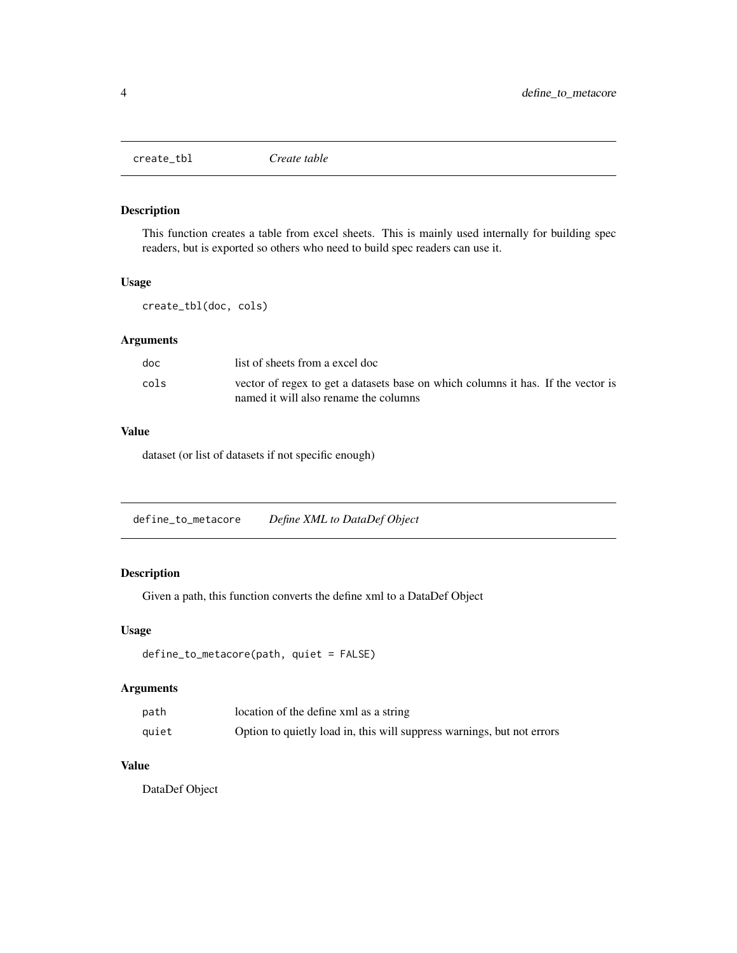<span id="page-3-0"></span>

This function creates a table from excel sheets. This is mainly used internally for building spec readers, but is exported so others who need to build spec readers can use it.

#### Usage

create\_tbl(doc, cols)

# Arguments

| doc  | list of sheets from a excel doc                                                                                           |
|------|---------------------------------------------------------------------------------------------------------------------------|
| cols | vector of regex to get a datasets base on which columns it has. If the vector is<br>named it will also rename the columns |

#### Value

dataset (or list of datasets if not specific enough)

| define_to_metacore | Define XML to DataDef Object |  |
|--------------------|------------------------------|--|
|                    |                              |  |

# Description

Given a path, this function converts the define xml to a DataDef Object

#### Usage

```
define_to_metacore(path, quiet = FALSE)
```
# Arguments

| path  | location of the define xml as a string                                 |
|-------|------------------------------------------------------------------------|
| quiet | Option to quietly load in, this will suppress warnings, but not errors |

#### Value

DataDef Object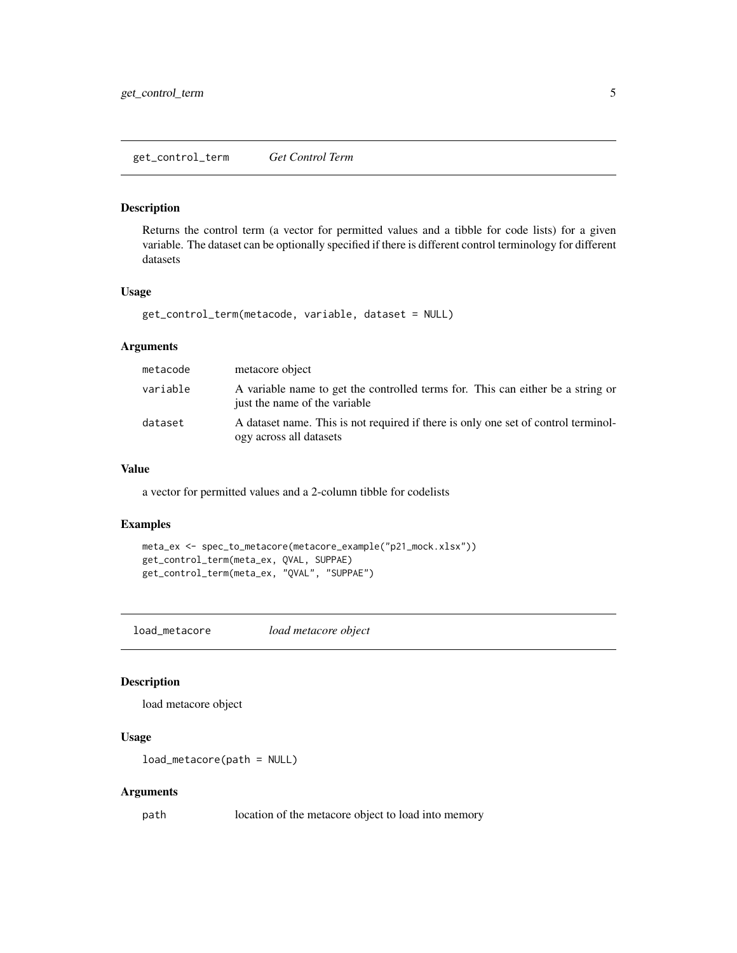<span id="page-4-0"></span>Returns the control term (a vector for permitted values and a tibble for code lists) for a given variable. The dataset can be optionally specified if there is different control terminology for different datasets

#### Usage

```
get_control_term(metacode, variable, dataset = NULL)
```
# Arguments

| metacode | metacore object                                                                                                  |
|----------|------------------------------------------------------------------------------------------------------------------|
| variable | A variable name to get the controlled terms for. This can either be a string or<br>just the name of the variable |
| dataset  | A dataset name. This is not required if there is only one set of control terminol-<br>ogy across all datasets    |

#### Value

a vector for permitted values and a 2-column tibble for codelists

#### Examples

```
meta_ex <- spec_to_metacore(metacore_example("p21_mock.xlsx"))
get_control_term(meta_ex, QVAL, SUPPAE)
get_control_term(meta_ex, "QVAL", "SUPPAE")
```
load\_metacore *load metacore object*

# Description

load metacore object

#### Usage

load\_metacore(path = NULL)

#### Arguments

path location of the metacore object to load into memory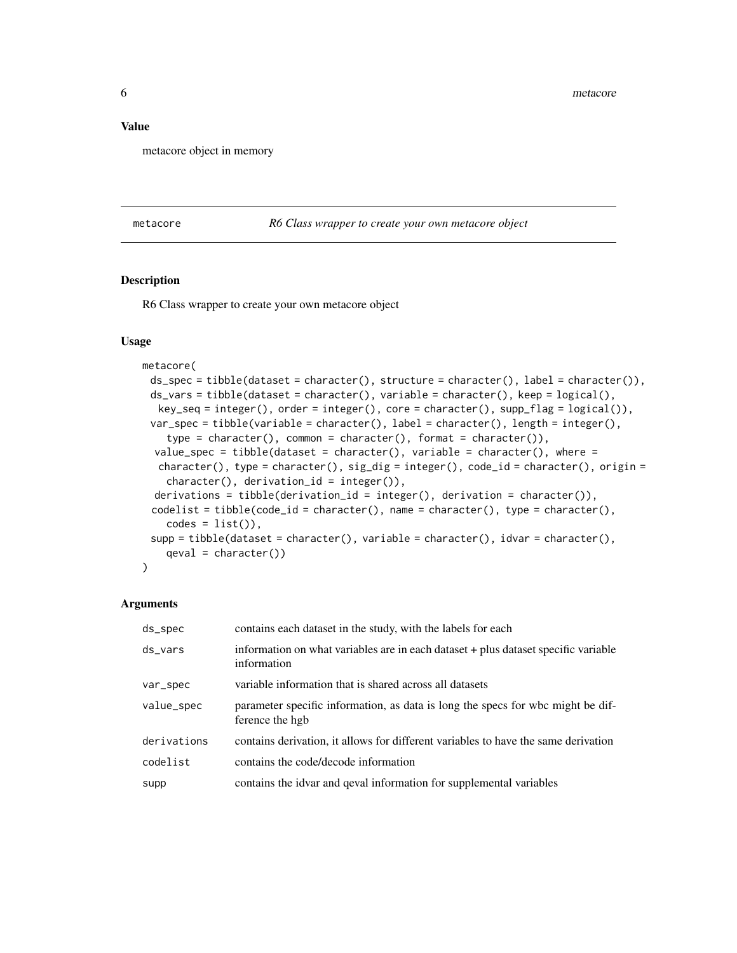#### <span id="page-5-0"></span>Value

metacore object in memory

metacore *R6 Class wrapper to create your own metacore object*

#### Description

R6 Class wrapper to create your own metacore object

#### Usage

```
metacore(
 ds_spec = tibble(dataset = character(), structure = character(), label = character()),
 ds_vars = tibble(dataset = character(), variable = character(), keep = logical(),
  key\_seq = integer(), order = integer(), core = character(), supp\_flag = logical(),var_spec = tibble(variable = character(), label = character(), length = integer(),
    type = character(), common = character(), format = character()),
  value_spec = tibble(dataset = character(), variable = character(), where =
  character(), type = character(), sig\_dig = integer(), code\_id = character(), origin =
    character(), derivation_id = integer()),
  derivations = tibble(derivation_id = integer(), derivation = character()),
 codelist = tibble(code_id = character(), name = character(), type = character(),
    codes = list(),
 supp = tibble(dataset = character(), variable = character(), idvar = character(),qeval = character()\lambda
```
#### Arguments

| ds_spec     | contains each dataset in the study, with the labels for each                                       |
|-------------|----------------------------------------------------------------------------------------------------|
| ds_vars     | information on what variables are in each dataset + plus dataset specific variable<br>information  |
| var_spec    | variable information that is shared across all datasets                                            |
| value_spec  | parameter specific information, as data is long the specs for wbc might be dif-<br>ference the hgb |
| derivations | contains derivation, it allows for different variables to have the same derivation                 |
| codelist    | contains the code/decode information                                                               |
| supp        | contains the idvar and geval information for supplemental variables                                |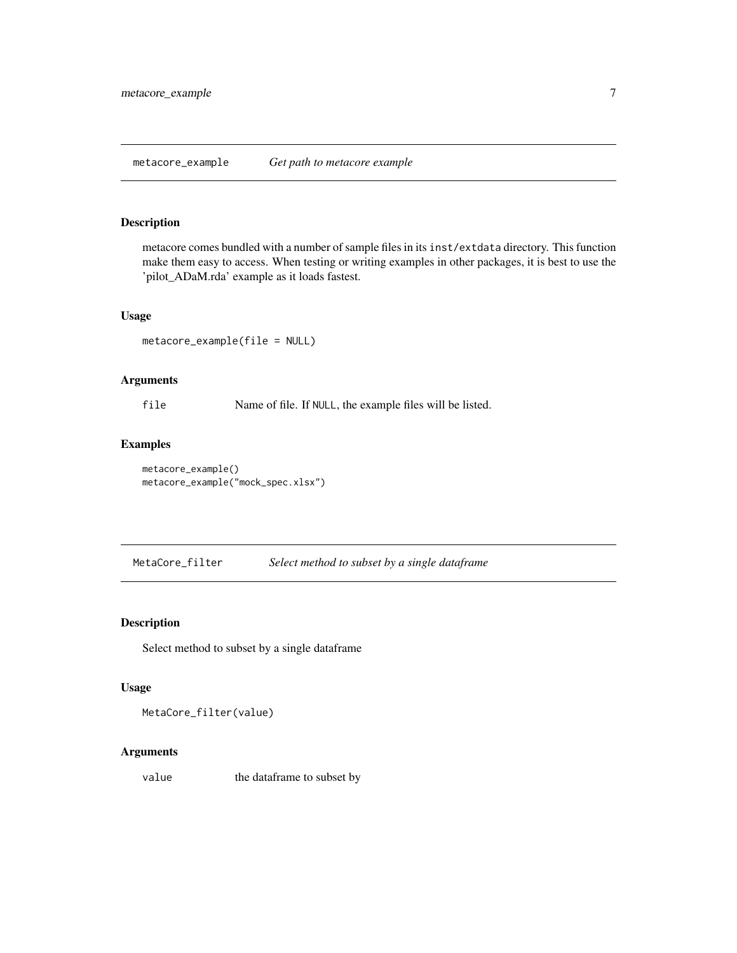<span id="page-6-0"></span>metacore comes bundled with a number of sample files in its inst/extdata directory. This function make them easy to access. When testing or writing examples in other packages, it is best to use the 'pilot\_ADaM.rda' example as it loads fastest.

# Usage

metacore\_example(file = NULL)

#### Arguments

file Name of file. If NULL, the example files will be listed.

# Examples

```
metacore_example()
metacore_example("mock_spec.xlsx")
```
MetaCore\_filter *Select method to subset by a single dataframe*

# Description

Select method to subset by a single dataframe

# Usage

MetaCore\_filter(value)

#### Arguments

value the dataframe to subset by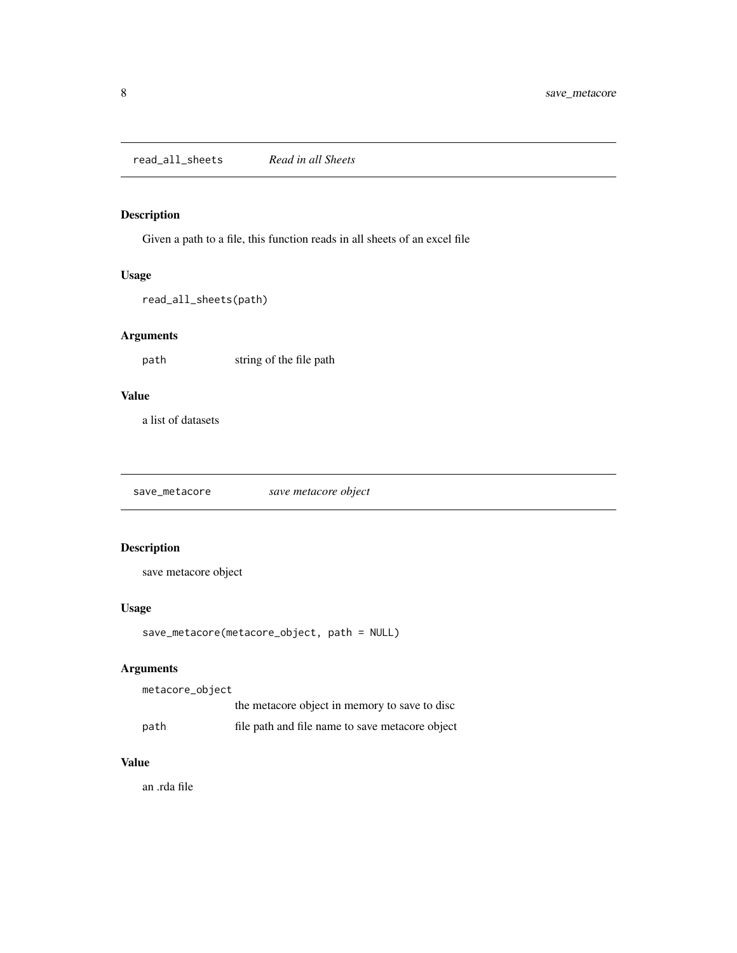<span id="page-7-1"></span><span id="page-7-0"></span>read\_all\_sheets *Read in all Sheets*

# Description

Given a path to a file, this function reads in all sheets of an excel file

# Usage

read\_all\_sheets(path)

# Arguments

path string of the file path

# Value

a list of datasets

save\_metacore *save metacore object*

# Description

save metacore object

# Usage

```
save_metacore(metacore_object, path = NULL)
```
# Arguments

metacore\_object

|      | the metacore object in memory to save to disc   |
|------|-------------------------------------------------|
| path | file path and file name to save metacore object |

# Value

an .rda file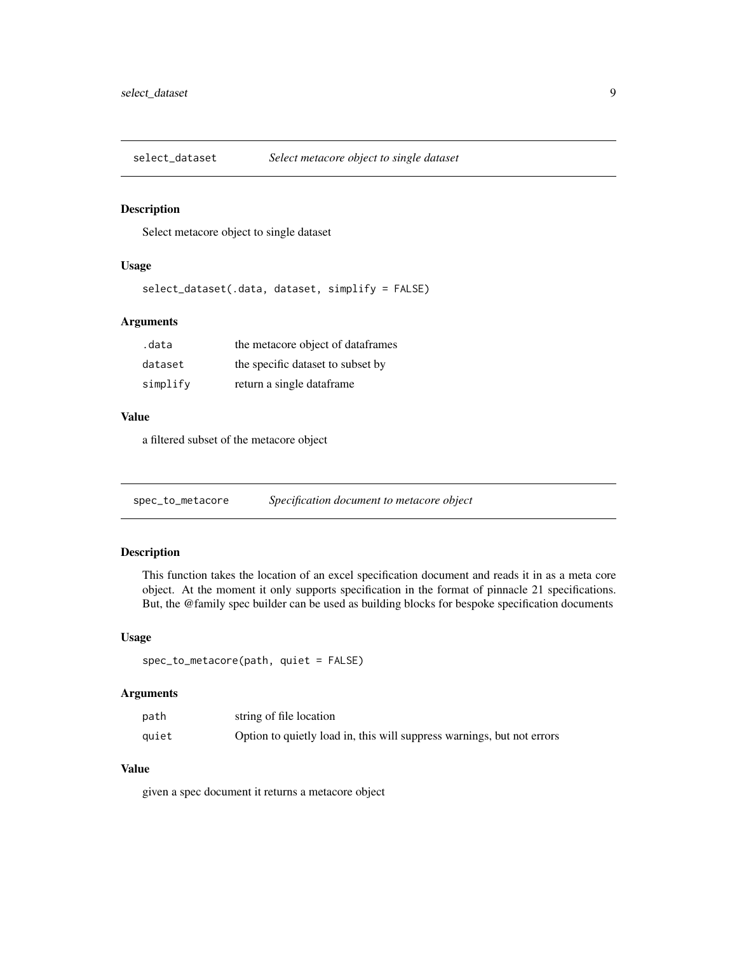<span id="page-8-0"></span>

Select metacore object to single dataset

#### Usage

```
select_dataset(.data, dataset, simplify = FALSE)
```
# Arguments

| .data    | the metacore object of dataframes |
|----------|-----------------------------------|
| dataset  | the specific dataset to subset by |
| simplify | return a single dataframe         |

#### Value

a filtered subset of the metacore object

spec\_to\_metacore *Specification document to metacore object*

# Description

This function takes the location of an excel specification document and reads it in as a meta core object. At the moment it only supports specification in the format of pinnacle 21 specifications. But, the @family spec builder can be used as building blocks for bespoke specification documents

## Usage

```
spec_to_metacore(path, quiet = FALSE)
```
#### Arguments

| path  | string of file location                                                |
|-------|------------------------------------------------------------------------|
| quiet | Option to quietly load in, this will suppress warnings, but not errors |

# Value

given a spec document it returns a metacore object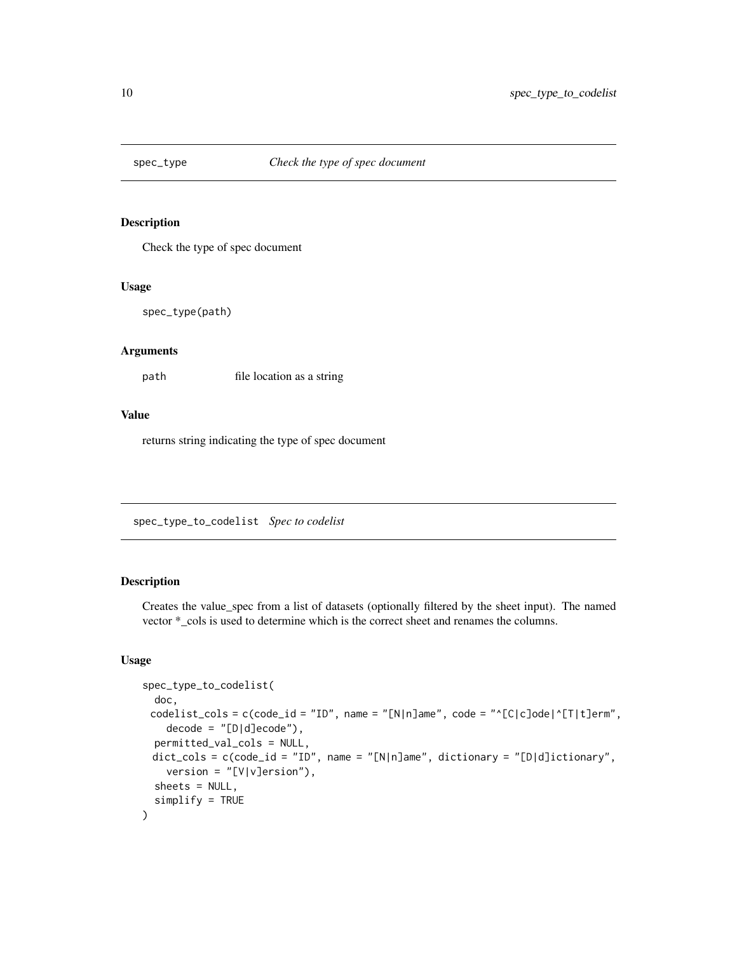<span id="page-9-0"></span>

Check the type of spec document

#### Usage

spec\_type(path)

# Arguments

path file location as a string

#### Value

returns string indicating the type of spec document

<span id="page-9-1"></span>spec\_type\_to\_codelist *Spec to codelist*

# Description

Creates the value\_spec from a list of datasets (optionally filtered by the sheet input). The named vector \*\_cols is used to determine which is the correct sheet and renames the columns.

#### Usage

```
spec_type_to_codelist(
 doc,
 codelist_cols = c(code_id = "ID", name = "[N|n]ame", code = "^[C|c]ode|^[T|t]erm",
   decode = "[D|d]ecode"),permitted_val_cols = NULL,
 dict_cols = c(code_id = "ID", name = "[N|n]ame", dictionary = "[D|d]ictionary",
   version = "[V|V]ersion"),
 sheets = NULL,
  simplify = TRUE
)
```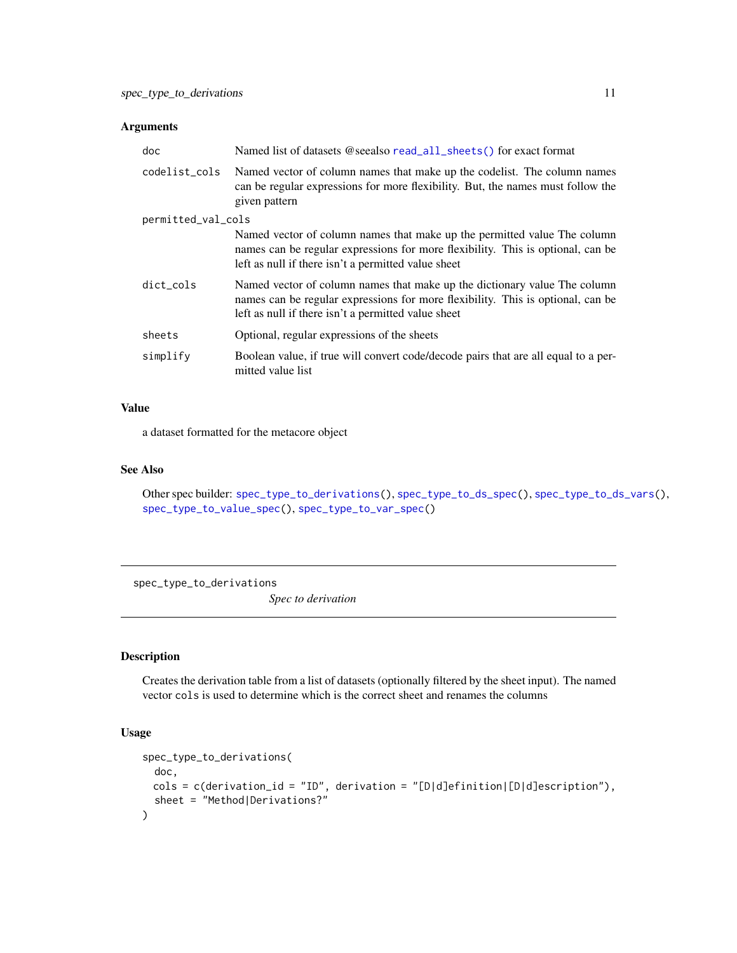#### <span id="page-10-0"></span>Arguments

| doc                | Named list of datasets @seealso read_all_sheets() for exact format                                                                                                                                                  |
|--------------------|---------------------------------------------------------------------------------------------------------------------------------------------------------------------------------------------------------------------|
| codelist_cols      | Named vector of column names that make up the codelist. The column names<br>can be regular expressions for more flexibility. But, the names must follow the<br>given pattern                                        |
| permitted_val_cols |                                                                                                                                                                                                                     |
|                    | Named vector of column names that make up the permitted value The column<br>names can be regular expressions for more flexibility. This is optional, can be<br>left as null if there isn't a permitted value sheet  |
| dict_cols          | Named vector of column names that make up the dictionary value The column<br>names can be regular expressions for more flexibility. This is optional, can be<br>left as null if there isn't a permitted value sheet |
| sheets             | Optional, regular expressions of the sheets                                                                                                                                                                         |
| simplify           | Boolean value, if true will convert code/decode pairs that are all equal to a per-<br>mitted value list                                                                                                             |

# Value

a dataset formatted for the metacore object

#### See Also

Other spec builder: [spec\\_type\\_to\\_derivations\(](#page-10-1)), [spec\\_type\\_to\\_ds\\_spec\(](#page-11-1)), [spec\\_type\\_to\\_ds\\_vars\(](#page-12-1)), [spec\\_type\\_to\\_value\\_spec\(](#page-13-1)), [spec\\_type\\_to\\_var\\_spec\(](#page-14-1))

<span id="page-10-1"></span>spec\_type\_to\_derivations

*Spec to derivation*

# Description

Creates the derivation table from a list of datasets (optionally filtered by the sheet input). The named vector cols is used to determine which is the correct sheet and renames the columns

#### Usage

```
spec_type_to_derivations(
 doc,
 cols = c(derivation_id = "ID", derivation = "[D|d]efinition|[D|d]escription"),
  sheet = "Method|Derivations?"
\mathcal{E}
```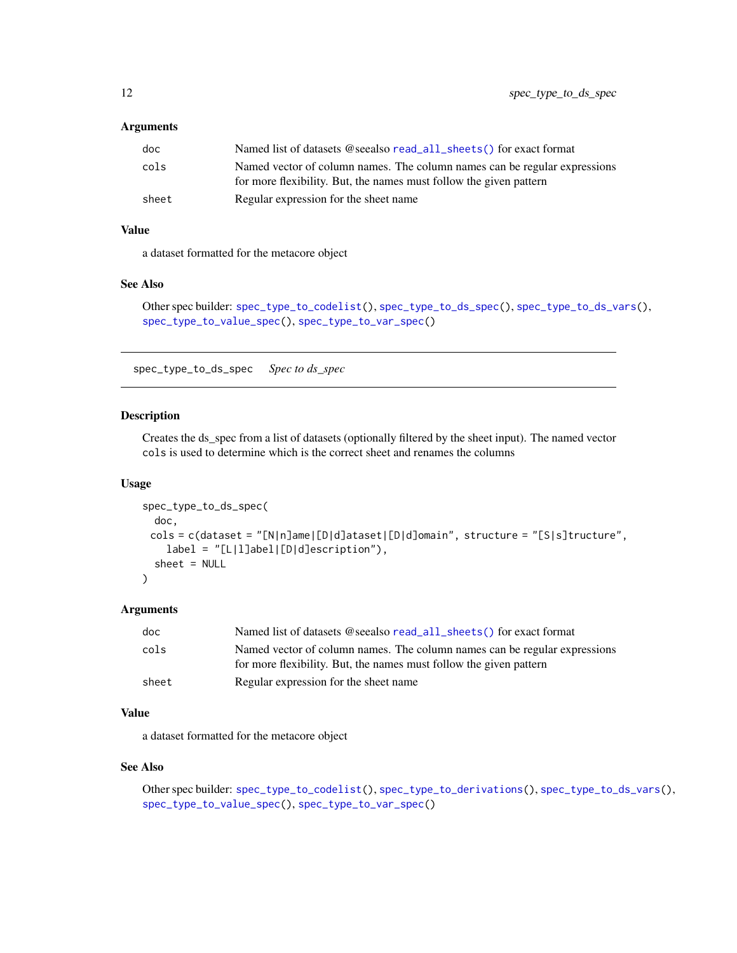#### <span id="page-11-0"></span>Arguments

| doc   | Named list of datasets @seealso read_all_sheets() for exact format                                                                              |
|-------|-------------------------------------------------------------------------------------------------------------------------------------------------|
| cols  | Named vector of column names. The column names can be regular expressions<br>for more flexibility. But, the names must follow the given pattern |
| sheet | Regular expression for the sheet name                                                                                                           |

# Value

a dataset formatted for the metacore object

#### See Also

Other spec builder: [spec\\_type\\_to\\_codelist\(](#page-9-1)), [spec\\_type\\_to\\_ds\\_spec\(](#page-11-1)), [spec\\_type\\_to\\_ds\\_vars\(](#page-12-1)), [spec\\_type\\_to\\_value\\_spec\(](#page-13-1)), [spec\\_type\\_to\\_var\\_spec\(](#page-14-1))

<span id="page-11-1"></span>spec\_type\_to\_ds\_spec *Spec to ds\_spec*

#### Description

Creates the ds\_spec from a list of datasets (optionally filtered by the sheet input). The named vector cols is used to determine which is the correct sheet and renames the columns

#### Usage

```
spec_type_to_ds_spec(
  doc,
 cols = c(dataset = "[N|n]ame|[D|d]ataset|[D|d]omain", structure = "[S|s]tructure",
    label = "[L|1]abel| [D|d]escription"),
  sheet = NULL\lambda
```
#### Arguments

| doc   | Named list of datasets @seealso read_all_sheets() for exact format                                                                              |
|-------|-------------------------------------------------------------------------------------------------------------------------------------------------|
| cols  | Named vector of column names. The column names can be regular expressions<br>for more flexibility. But, the names must follow the given pattern |
| sheet | Regular expression for the sheet name                                                                                                           |

#### Value

a dataset formatted for the metacore object

#### See Also

```
Other spec builder: spec_type_to_codelist(), spec_type_to_derivations(), spec_type_to_ds_vars(),
spec_type_to_value_spec(), spec_type_to_var_spec()
```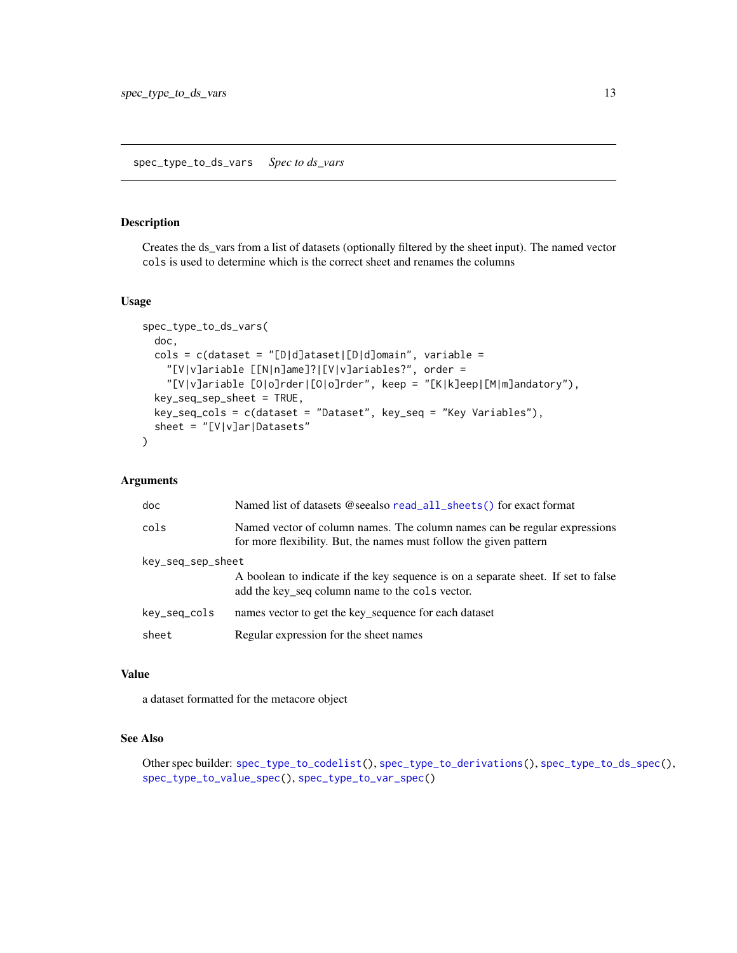<span id="page-12-1"></span><span id="page-12-0"></span>spec\_type\_to\_ds\_vars *Spec to ds\_vars*

# Description

Creates the ds\_vars from a list of datasets (optionally filtered by the sheet input). The named vector cols is used to determine which is the correct sheet and renames the columns

#### Usage

```
spec_type_to_ds_vars(
 doc,
  cols = c(dataset = "[D|d]ataset|[D|d]omain", variable ="[V|v]ariable [[N|n]ame]?|[V|v]ariables?", order =
    "[V|v]ariable [O|o]rder|[O|o]rder", keep = "[K|k]eep|[M|m]andatory"),
  key_seq_sep_sheet = TRUE,
 key_seq_cols = c(dataset = "Dataset", key_seq = "Key Variables"),
 sheet = "[V|v]ar|Datasets"
)
```
#### Arguments

| doc               | Named list of datasets @seealso read_all_sheets() for exact format                                                                              |
|-------------------|-------------------------------------------------------------------------------------------------------------------------------------------------|
| cols              | Named vector of column names. The column names can be regular expressions<br>for more flexibility. But, the names must follow the given pattern |
| key_seq_sep_sheet |                                                                                                                                                 |
|                   | A boolean to indicate if the key sequence is on a separate sheet. If set to false<br>add the key seq column name to the cols vector.            |
| key_seq_cols      | names vector to get the key_sequence for each dataset                                                                                           |
| sheet             | Regular expression for the sheet names                                                                                                          |

#### Value

a dataset formatted for the metacore object

#### See Also

Other spec builder: [spec\\_type\\_to\\_codelist\(](#page-9-1)), [spec\\_type\\_to\\_derivations\(](#page-10-1)), [spec\\_type\\_to\\_ds\\_spec\(](#page-11-1)), [spec\\_type\\_to\\_value\\_spec\(](#page-13-1)), [spec\\_type\\_to\\_var\\_spec\(](#page-14-1))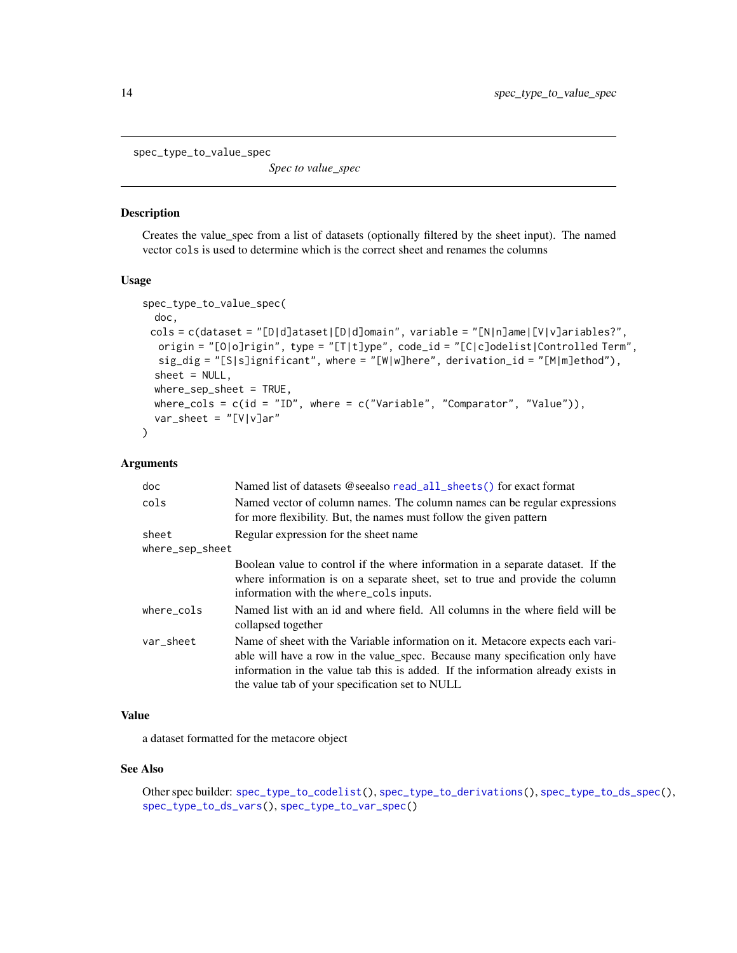<span id="page-13-1"></span><span id="page-13-0"></span>spec\_type\_to\_value\_spec

*Spec to value\_spec*

## Description

Creates the value\_spec from a list of datasets (optionally filtered by the sheet input). The named vector cols is used to determine which is the correct sheet and renames the columns

#### Usage

```
spec_type_to_value_spec(
 doc,
 cols = c(dataset = "[D|d]ataset|[D|d]omain", variable = "[N|n]ame|[V|v]ariables?",
  origin = "[O|o]rigin", type = "[T|t]ype", code_id = "[C|c]odelist|Controlled Term",
  sig\_dig = "[S|s]ignificant", where = "[W|w]here", derivation_id = "[M|m]ethod"),
  sheet = NULL,where_sep_sheet = TRUE,
 where_cols = c(id = "ID", where = c("Variable", "Comparator", "Value"),var_sheet = "[V|v]ar"
)
```
#### Arguments

| doc             | Named list of datasets @seealso read_all_sheets() for exact format                                                                                                                                                                                                                                    |
|-----------------|-------------------------------------------------------------------------------------------------------------------------------------------------------------------------------------------------------------------------------------------------------------------------------------------------------|
| cols            | Named vector of column names. The column names can be regular expressions<br>for more flexibility. But, the names must follow the given pattern                                                                                                                                                       |
| sheet           | Regular expression for the sheet name                                                                                                                                                                                                                                                                 |
| where_sep_sheet |                                                                                                                                                                                                                                                                                                       |
|                 | Boolean value to control if the where information in a separate dataset. If the<br>where information is on a separate sheet, set to true and provide the column<br>information with the where_cols inputs.                                                                                            |
| where_cols      | Named list with an id and where field. All columns in the where field will be<br>collapsed together                                                                                                                                                                                                   |
| var_sheet       | Name of sheet with the Variable information on it. Metacore expects each vari-<br>able will have a row in the value_spec. Because many specification only have<br>information in the value tab this is added. If the information already exists in<br>the value tab of your specification set to NULL |

# Value

a dataset formatted for the metacore object

### See Also

Other spec builder: [spec\\_type\\_to\\_codelist\(](#page-9-1)), [spec\\_type\\_to\\_derivations\(](#page-10-1)), [spec\\_type\\_to\\_ds\\_spec\(](#page-11-1)), [spec\\_type\\_to\\_ds\\_vars\(](#page-12-1)), [spec\\_type\\_to\\_var\\_spec\(](#page-14-1))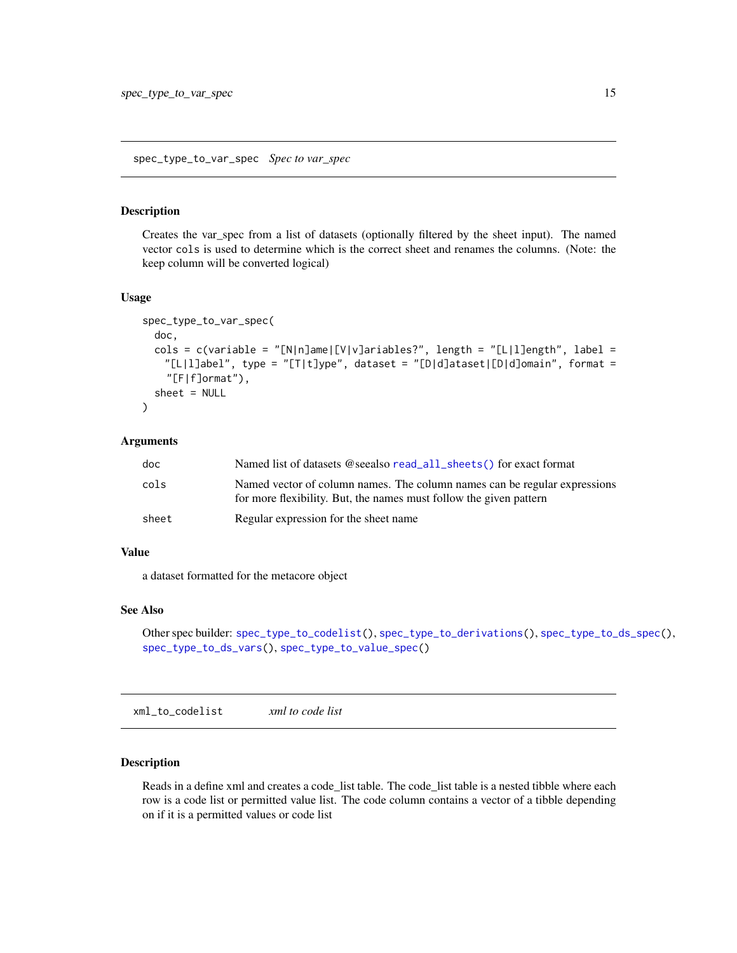<span id="page-14-1"></span><span id="page-14-0"></span>Creates the var\_spec from a list of datasets (optionally filtered by the sheet input). The named vector cols is used to determine which is the correct sheet and renames the columns. (Note: the keep column will be converted logical)

#### Usage

```
spec_type_to_var_spec(
  doc,
  cols = c(variable = "[N|n]ame|[V|v]ariables?", length = "[L|l]ength", label =
   "[L|l]abel", type = "[T|t]ype", dataset = "[D|d]ataset|[D|d]omain", format =
    "[F|f]ormat"),
  sheet = NULL\lambda
```
#### Arguments

| doc   | Named list of datasets @seealso read_all_sheets() for exact format                                                                              |
|-------|-------------------------------------------------------------------------------------------------------------------------------------------------|
| cols  | Named vector of column names. The column names can be regular expressions<br>for more flexibility. But, the names must follow the given pattern |
| sheet | Regular expression for the sheet name                                                                                                           |

#### Value

a dataset formatted for the metacore object

#### See Also

```
Other spec builder: spec_type_to_codelist(), spec_type_to_derivations(), spec_type_to_ds_spec(),
spec_type_to_ds_vars(), spec_type_to_value_spec()
```
<span id="page-14-2"></span>xml\_to\_codelist *xml to code list*

#### Description

Reads in a define xml and creates a code\_list table. The code\_list table is a nested tibble where each row is a code list or permitted value list. The code column contains a vector of a tibble depending on if it is a permitted values or code list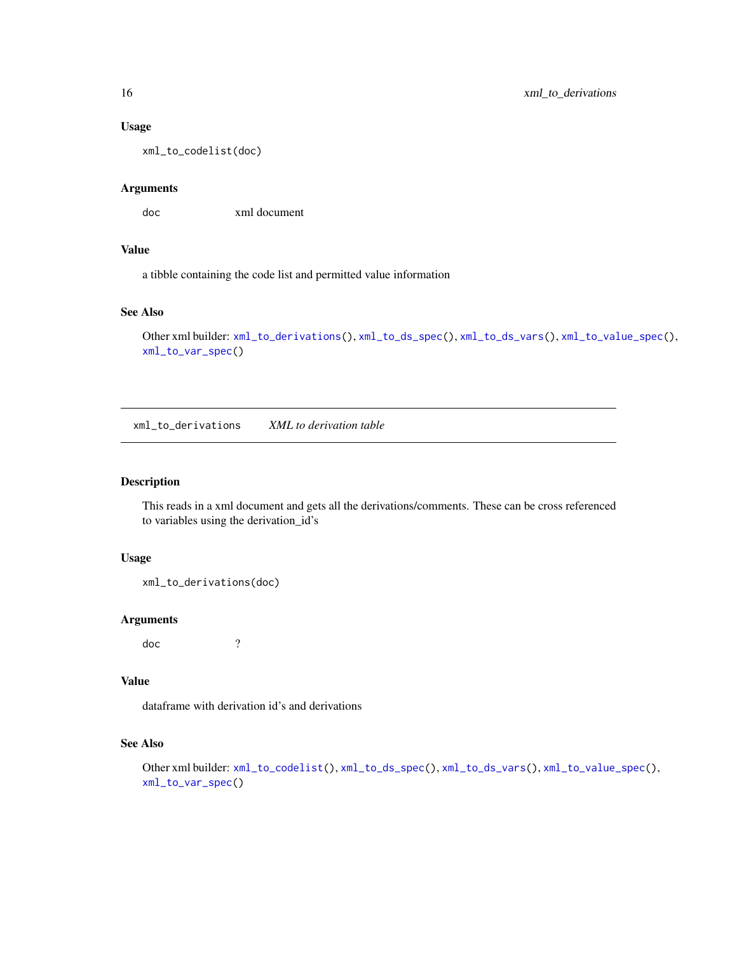#### <span id="page-15-0"></span>Usage

xml\_to\_codelist(doc)

### Arguments

doc xml document

# Value

a tibble containing the code list and permitted value information

# See Also

```
Other xml builder: xml_to_derivations(), xml_to_ds_spec(), xml_to_ds_vars(), xml_to_value_spec(),
xml_to_var_spec()
```
<span id="page-15-1"></span>xml\_to\_derivations *XML to derivation table*

#### Description

This reads in a xml document and gets all the derivations/comments. These can be cross referenced to variables using the derivation\_id's

#### Usage

```
xml_to_derivations(doc)
```
#### Arguments

doc ?

# Value

dataframe with derivation id's and derivations

# See Also

Other xml builder: [xml\\_to\\_codelist\(](#page-14-2)), [xml\\_to\\_ds\\_spec\(](#page-16-1)), [xml\\_to\\_ds\\_vars\(](#page-16-2)), [xml\\_to\\_value\\_spec\(](#page-17-1)), [xml\\_to\\_var\\_spec\(](#page-17-2))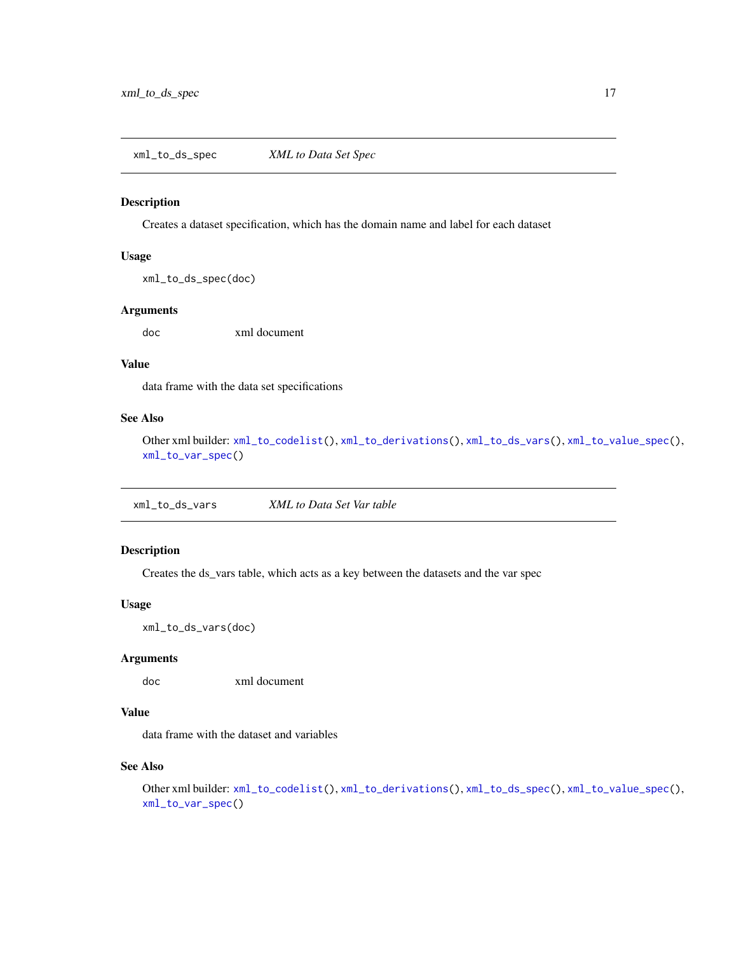<span id="page-16-1"></span><span id="page-16-0"></span>xml\_to\_ds\_spec *XML to Data Set Spec*

#### Description

Creates a dataset specification, which has the domain name and label for each dataset

#### Usage

xml\_to\_ds\_spec(doc)

#### Arguments

doc xml document

# Value

data frame with the data set specifications

# See Also

Other xml builder: [xml\\_to\\_codelist\(](#page-14-2)), [xml\\_to\\_derivations\(](#page-15-1)), [xml\\_to\\_ds\\_vars\(](#page-16-2)), [xml\\_to\\_value\\_spec\(](#page-17-1)), [xml\\_to\\_var\\_spec\(](#page-17-2))

<span id="page-16-2"></span>xml\_to\_ds\_vars *XML to Data Set Var table*

# Description

Creates the ds\_vars table, which acts as a key between the datasets and the var spec

#### Usage

xml\_to\_ds\_vars(doc)

#### Arguments

doc xml document

# Value

data frame with the dataset and variables

# See Also

Other xml builder: [xml\\_to\\_codelist\(](#page-14-2)), [xml\\_to\\_derivations\(](#page-15-1)), [xml\\_to\\_ds\\_spec\(](#page-16-1)), [xml\\_to\\_value\\_spec\(](#page-17-1)), [xml\\_to\\_var\\_spec\(](#page-17-2))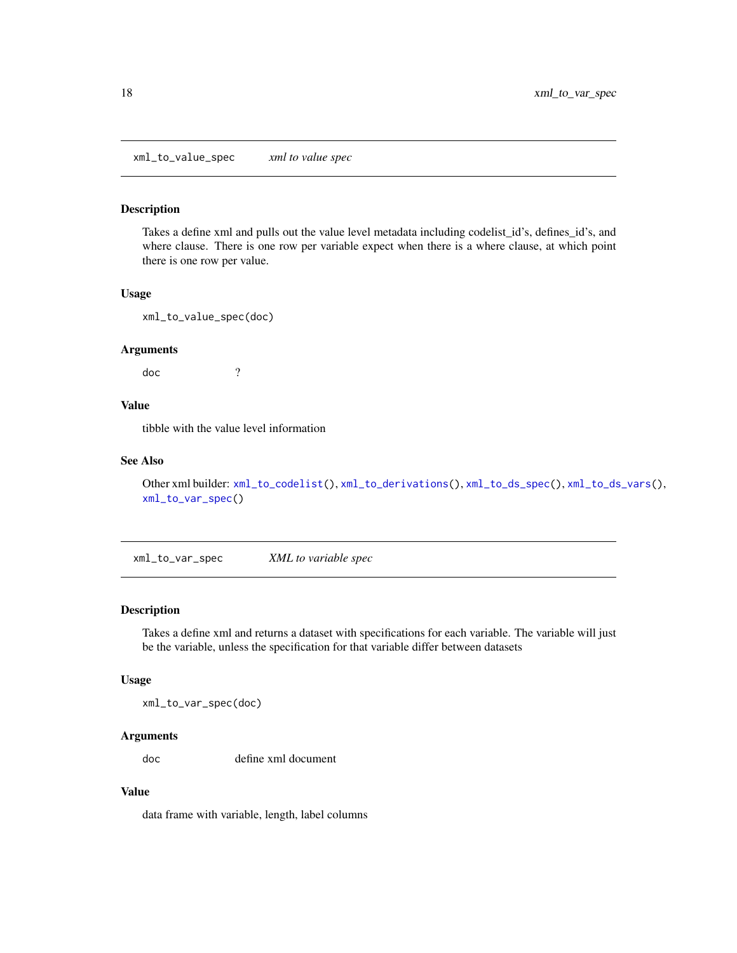<span id="page-17-1"></span><span id="page-17-0"></span>xml\_to\_value\_spec *xml to value spec*

#### Description

Takes a define xml and pulls out the value level metadata including codelist\_id's, defines\_id's, and where clause. There is one row per variable expect when there is a where clause, at which point there is one row per value.

#### Usage

xml\_to\_value\_spec(doc)

#### Arguments

doc ?

# Value

tibble with the value level information

#### See Also

Other xml builder: [xml\\_to\\_codelist\(](#page-14-2)), [xml\\_to\\_derivations\(](#page-15-1)), [xml\\_to\\_ds\\_spec\(](#page-16-1)), [xml\\_to\\_ds\\_vars\(](#page-16-2)), [xml\\_to\\_var\\_spec\(](#page-17-2))

<span id="page-17-2"></span>xml\_to\_var\_spec *XML to variable spec*

#### Description

Takes a define xml and returns a dataset with specifications for each variable. The variable will just be the variable, unless the specification for that variable differ between datasets

#### Usage

xml\_to\_var\_spec(doc)

#### Arguments

doc define xml document

# Value

data frame with variable, length, label columns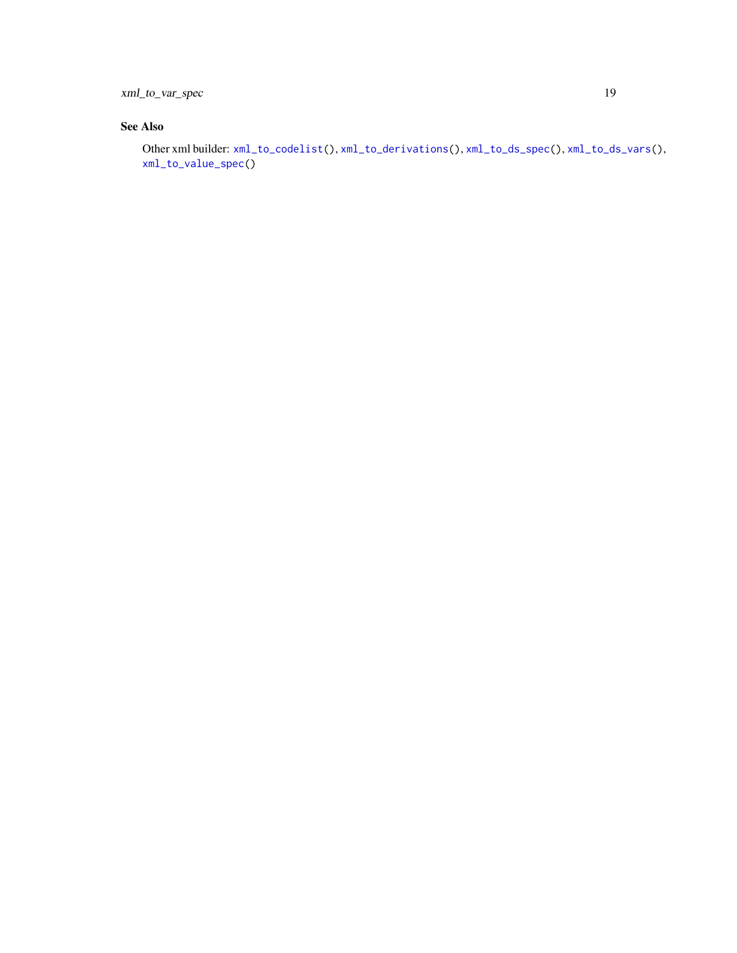<span id="page-18-0"></span>xml\_to\_var\_spec 19

# See Also

Other xml builder: [xml\\_to\\_codelist\(](#page-14-2)), [xml\\_to\\_derivations\(](#page-15-1)), [xml\\_to\\_ds\\_spec\(](#page-16-1)), [xml\\_to\\_ds\\_vars\(](#page-16-2)), [xml\\_to\\_value\\_spec\(](#page-17-1))